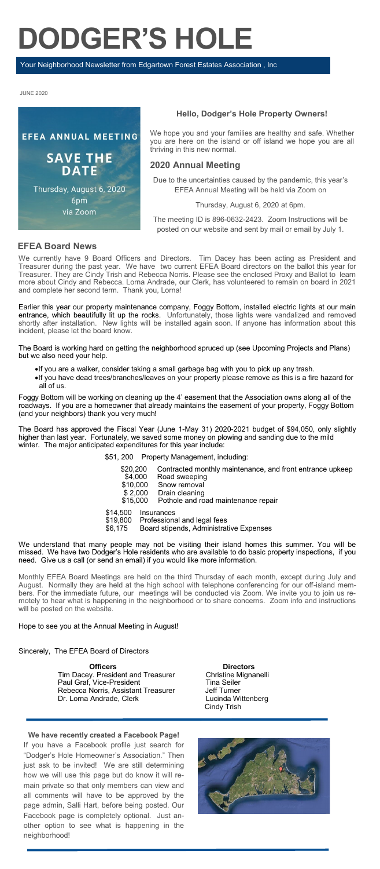# **DODGER'S HOLE**

Your Neighborhood Newsletter from Edgartown Forest Estates Association , Inc

JUNE 2020



#### **Hello, Dodger's Hole Property Owners!**

We hope you and your families are healthy and safe. Whether you are here on the island or off island we hope you are all thriving in this new normal.

## **2020 Annual Meeting**

Due to the uncertainties caused by the pandemic, this year's EFEA Annual Meeting will be held via Zoom on

#### Thursday, August 6, 2020 at 6pm.

The meeting ID is 896-0632-2423. Zoom Instructions will be posted on our website and sent by mail or email by July 1.

#### **EFEA Board News**

We currently have 9 Board Officers and Directors. Tim Dacey has been acting as President and Treasurer during the past year. We have two current EFEA Board directors on the ballot this year for Treasurer. They are Cindy Trish and Rebecca Norris. Please see the enclosed Proxy and Ballot to learn more about Cindy and Rebecca. Lorna Andrade, our Clerk, has volunteered to remain on board in 2021 and complete her second term. Thank you, Lorna!

Earlier this year our property maintenance company, Foggy Bottom, installed electric lights at our main entrance, which beautifully lit up the rocks. Unfortunately, those lights were vandalized and removed shortly after installation. New lights will be installed again soon. If anyone has information about this incident, please let the board know.

The Board is working hard on getting the neighborhood spruced up (see Upcoming Projects and Plans) but we also need your help.

- •If you are a walker, consider taking a small garbage bag with you to pick up any trash.
- •If you have dead trees/branches/leaves on your property please remove as this is a fire hazard for all of us.

Foggy Bottom will be working on cleaning up the 4' easement that the Association owns along all of the roadways. If you are a homeowner that already maintains the easement of your property, Foggy Bottom (and your neighbors) thank you very much!

The Board has approved the Fiscal Year (June 1-May 31) 2020-2021 budget of \$94,050, only slightly higher than last year. Fortunately, we saved some money on plowing and sanding due to the mild winter.The major anticipated expenditures for this year include:

- \$51, 200 Property Management, including:
	- \$20,200 Contracted monthly maintenance, and front entrance upkeep<br>\$4.000 Road sweeping
- \$4,000 Road sweeping<br>\$10,000 Snow removal<br>\$2,000 Drain cleaning \$10,000 Snow removal
- \$ 2,000 Drain cleaning
	- $$15,000$  Pothole and road maintenance repair
	-
- \$14,500 Insurances<br>\$19,800 Profession \$19,800 Professional and legal fees
- \$6,175 Board stipends, Administrative Expenses

We understand that many people may not be visiting their island homes this summer. You will be missed. We have two Dodger's Hole residents who are available to do basic property inspections, if you need. Give us a call (or send an email) if you would like more information.

Monthly EFEA Board Meetings are held on the third Thursday of each month, except during July and August. Normally they are held at the high school with telephone conferencing for our off-island members. For the immediate future, our meetings will be conducted via Zoom. We invite you to join us remotely to hear what is happening in the neighborhood or to share concerns. Zoom info and instructions will be posted on the website.

#### Hope to see you at the Annual Meeting in August!

#### Sincerely, The EFEA Board of Directors

**Officers Directors** Tim Dacey. President and Treasurer **Christine Mignanelli** Paul Graf, Vice-President Tina Seiler Rebecca Norris, Assistant Treasurer **Jeff Turner** Dr. Lorna Andrade, Clerk Lucinda Wittenberg

**We have recently created a Facebook Page!** 

If you have a Facebook profile just search for "Dodger's Hole Homeowner's Association." Then just ask to be invited! We are still determining how we will use this page but do know it will remain private so that only members can view and all comments will have to be approved by the page admin, Salli Hart, before being posted. Our Facebook page is completely optional. Just another option to see what is happening in the neighborhood!

Cindy Trish